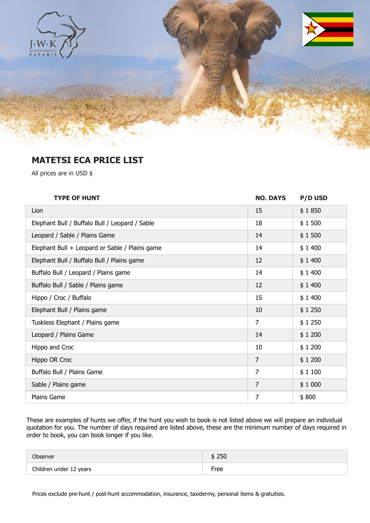

## **MATETSI ECA PRICE LIST**

All prices are in USD \$

| <b>TYPE OF HUNT</b>                            | <b>NO. DAYS</b> | <b>P/D USD</b> |
|------------------------------------------------|-----------------|----------------|
| Lion                                           | 15              | \$1850         |
| Elephant Bull / Buffalo Bull / Leopard / Sable | 18              | \$1500         |
| Leopard / Sable / Plains Game                  | 14              | \$1500         |
| Elephant Bull + Leopard or Sable / Plains game | 14              | \$1400         |
| Elephant Bull / Buffalo Bull / Plains game     | 12              | \$1400         |
| Buffalo Bull / Leopard / Plains game           | 14              | \$1400         |
| Buffalo Bull / Sable / Plains game             | 12              | \$1400         |
| Hippo / Croc / Buffalo                         | 15              | \$1400         |
| Elephant Bull / Plains game                    | 10              | \$1250         |
| Tuskless Elephant / Plains game                | $\overline{7}$  | \$1250         |
| Leopard / Plains Game                          | 14              | \$1200         |
| Hippo and Croc                                 | 10              | \$1200         |
| Hippo OR Croc                                  | $\overline{7}$  | \$1200         |
| Buffalo Bull / Plains Game                     | $\overline{7}$  | \$1100         |
| Sable / Plains game                            | $\overline{7}$  | \$1000         |
| Plains Game                                    | $\overline{7}$  | \$800          |

These are examples of hunts we offer, if the hunt you wish to book is not listed above we will prepare an individual quotation for you. The number of days required are listed above, these are the minimum number of days required in order to book, you can book longer if you like.

| Observer                | 250  |
|-------------------------|------|
| Children under 12 years | Free |

Prices exclude pre-hunt / post-hunt accommodation, insurance, taxidermy, personal items & gratuities.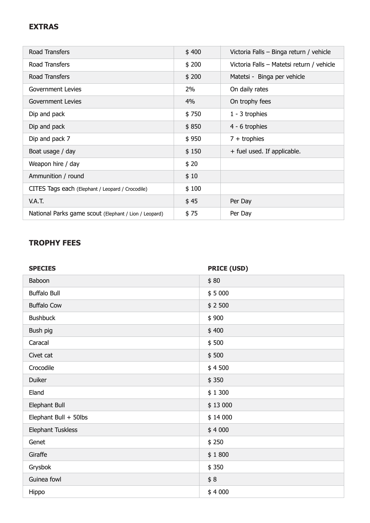## **EXTRAS**

| Road Transfers                                        | \$400 | Victoria Falls - Binga return / vehicle   |
|-------------------------------------------------------|-------|-------------------------------------------|
| Road Transfers                                        | \$200 | Victoria Falls - Matetsi return / vehicle |
| Road Transfers                                        | \$200 | Matetsi - Binga per vehicle               |
| Government Levies                                     | 2%    | On daily rates                            |
| Government Levies                                     | 4%    | On trophy fees                            |
| Dip and pack                                          | \$750 | $1 - 3$ trophies                          |
| Dip and pack                                          | \$850 | 4 - 6 trophies                            |
| Dip and pack 7                                        | \$950 | $7 +$ trophies                            |
| Boat usage / day                                      | \$150 | + fuel used. If applicable.               |
| Weapon hire / day                                     | \$20  |                                           |
| Ammunition / round                                    | \$10  |                                           |
| CITES Tags each (Elephant / Leopard / Crocodile)      | \$100 |                                           |
| V.A.T.                                                | \$45  | Per Day                                   |
| National Parks game scout (Elephant / Lion / Leopard) | \$75  | Per Day                                   |

## **TROPHY FEES**

| <b>SPECIES</b>        | <b>PRICE (USD)</b> |
|-----------------------|--------------------|
| Baboon                | \$80               |
| <b>Buffalo Bull</b>   | \$5000             |
| <b>Buffalo Cow</b>    | \$2500             |
| <b>Bushbuck</b>       | \$900              |
| Bush pig              | \$400              |
| Caracal               | \$500              |
| Civet cat             | \$500              |
| Crocodile             | \$4500             |
| <b>Duiker</b>         | \$350              |
| Eland                 | \$1300             |
| Elephant Bull         | \$13 000           |
| Elephant Bull + 50lbs | \$14 000           |
| Elephant Tuskless     | \$4000             |
| Genet                 | \$250              |
| Giraffe               | \$1800             |
| Grysbok               | \$350              |
| Guinea fowl           | \$8                |
| Hippo                 | \$4000             |